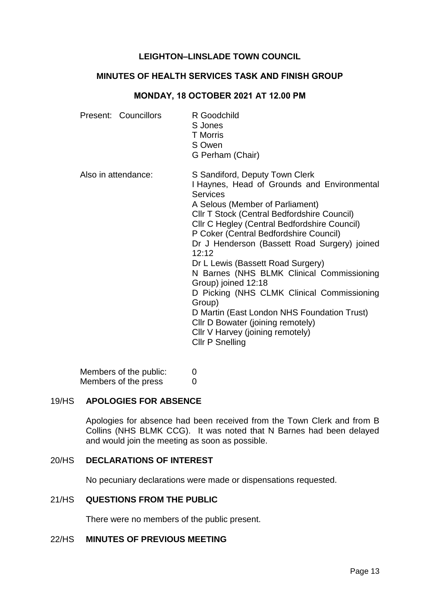## **LEIGHTON–LINSLADE TOWN COUNCIL**

# **MINUTES OF HEALTH SERVICES TASK AND FINISH GROUP**

#### **MONDAY, 18 OCTOBER 2021 AT 12.00 PM**

|                     | Present: Councillors | R Goodchild<br>S Jones<br><b>T</b> Morris<br>S Owen<br>G Perham (Chair)                                                                                                                                                                                                                                                                                                                                                                                                                                                                                                                                                                                                |
|---------------------|----------------------|------------------------------------------------------------------------------------------------------------------------------------------------------------------------------------------------------------------------------------------------------------------------------------------------------------------------------------------------------------------------------------------------------------------------------------------------------------------------------------------------------------------------------------------------------------------------------------------------------------------------------------------------------------------------|
| Also in attendance: |                      | S Sandiford, Deputy Town Clerk<br>I Haynes, Head of Grounds and Environmental<br><b>Services</b><br>A Selous (Member of Parliament)<br><b>CIIr T Stock (Central Bedfordshire Council)</b><br><b>CIIr C Hegley (Central Bedfordshire Council)</b><br>P Coker (Central Bedfordshire Council)<br>Dr J Henderson (Bassett Road Surgery) joined<br>12:12<br>Dr L Lewis (Bassett Road Surgery)<br>N Barnes (NHS BLMK Clinical Commissioning<br>Group) joined 12:18<br>D Picking (NHS CLMK Clinical Commissioning<br>Group)<br>D Martin (East London NHS Foundation Trust)<br>Cllr D Bowater (joining remotely)<br>Cllr V Harvey (joining remotely)<br><b>CIIr P Snelling</b> |

Members of the public: 0 Members of the press 0

#### 19/HS **APOLOGIES FOR ABSENCE**

Apologies for absence had been received from the Town Clerk and from B Collins (NHS BLMK CCG). It was noted that N Barnes had been delayed and would join the meeting as soon as possible.

## 20/HS **DECLARATIONS OF INTEREST**

No pecuniary declarations were made or dispensations requested.

#### 21/HS **QUESTIONS FROM THE PUBLIC**

There were no members of the public present.

## 22/HS **MINUTES OF PREVIOUS MEETING**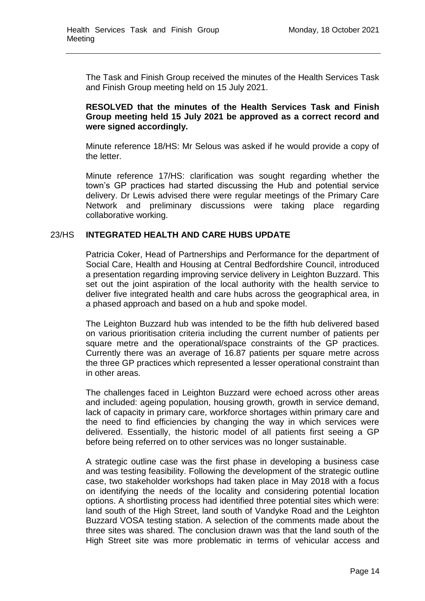The Task and Finish Group received the minutes of the Health Services Task and Finish Group meeting held on 15 July 2021.

## **RESOLVED that the minutes of the Health Services Task and Finish Group meeting held 15 July 2021 be approved as a correct record and were signed accordingly.**

Minute reference 18/HS: Mr Selous was asked if he would provide a copy of the letter.

Minute reference 17/HS: clarification was sought regarding whether the town's GP practices had started discussing the Hub and potential service delivery. Dr Lewis advised there were regular meetings of the Primary Care Network and preliminary discussions were taking place regarding collaborative working.

## 23/HS **INTEGRATED HEALTH AND CARE HUBS UPDATE**

Patricia Coker, Head of Partnerships and Performance for the department of Social Care, Health and Housing at Central Bedfordshire Council, introduced a presentation regarding improving service delivery in Leighton Buzzard. This set out the joint aspiration of the local authority with the health service to deliver five integrated health and care hubs across the geographical area, in a phased approach and based on a hub and spoke model.

The Leighton Buzzard hub was intended to be the fifth hub delivered based on various prioritisation criteria including the current number of patients per square metre and the operational/space constraints of the GP practices. Currently there was an average of 16.87 patients per square metre across the three GP practices which represented a lesser operational constraint than in other areas.

The challenges faced in Leighton Buzzard were echoed across other areas and included: ageing population, housing growth, growth in service demand, lack of capacity in primary care, workforce shortages within primary care and the need to find efficiencies by changing the way in which services were delivered. Essentially, the historic model of all patients first seeing a GP before being referred on to other services was no longer sustainable.

A strategic outline case was the first phase in developing a business case and was testing feasibility. Following the development of the strategic outline case, two stakeholder workshops had taken place in May 2018 with a focus on identifying the needs of the locality and considering potential location options. A shortlisting process had identified three potential sites which were: land south of the High Street, land south of Vandyke Road and the Leighton Buzzard VOSA testing station. A selection of the comments made about the three sites was shared. The conclusion drawn was that the land south of the High Street site was more problematic in terms of vehicular access and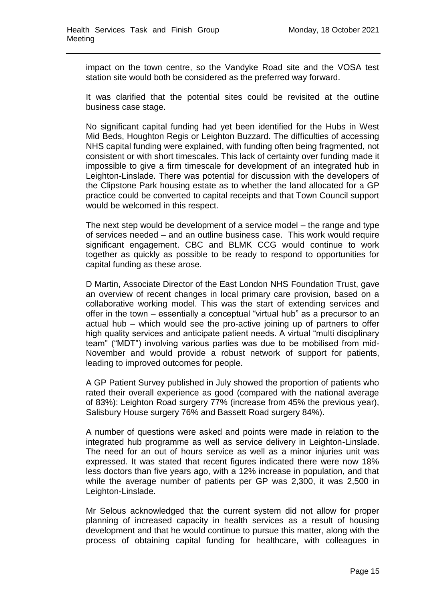impact on the town centre, so the Vandyke Road site and the VOSA test station site would both be considered as the preferred way forward.

It was clarified that the potential sites could be revisited at the outline business case stage.

No significant capital funding had yet been identified for the Hubs in West Mid Beds, Houghton Regis or Leighton Buzzard. The difficulties of accessing NHS capital funding were explained, with funding often being fragmented, not consistent or with short timescales. This lack of certainty over funding made it impossible to give a firm timescale for development of an integrated hub in Leighton-Linslade. There was potential for discussion with the developers of the Clipstone Park housing estate as to whether the land allocated for a GP practice could be converted to capital receipts and that Town Council support would be welcomed in this respect.

The next step would be development of a service model – the range and type of services needed – and an outline business case. This work would require significant engagement. CBC and BLMK CCG would continue to work together as quickly as possible to be ready to respond to opportunities for capital funding as these arose.

D Martin, Associate Director of the East London NHS Foundation Trust, gave an overview of recent changes in local primary care provision, based on a collaborative working model. This was the start of extending services and offer in the town – essentially a conceptual "virtual hub" as a precursor to an actual hub – which would see the pro-active joining up of partners to offer high quality services and anticipate patient needs. A virtual "multi disciplinary team" ("MDT") involving various parties was due to be mobilised from mid-November and would provide a robust network of support for patients, leading to improved outcomes for people.

A GP Patient Survey published in July showed the proportion of patients who rated their overall experience as good (compared with the national average of 83%): Leighton Road surgery 77% (increase from 45% the previous year), Salisbury House surgery 76% and Bassett Road surgery 84%).

A number of questions were asked and points were made in relation to the integrated hub programme as well as service delivery in Leighton-Linslade. The need for an out of hours service as well as a minor injuries unit was expressed. It was stated that recent figures indicated there were now 18% less doctors than five years ago, with a 12% increase in population, and that while the average number of patients per GP was 2,300, it was 2,500 in Leighton-Linslade.

Mr Selous acknowledged that the current system did not allow for proper planning of increased capacity in health services as a result of housing development and that he would continue to pursue this matter, along with the process of obtaining capital funding for healthcare, with colleagues in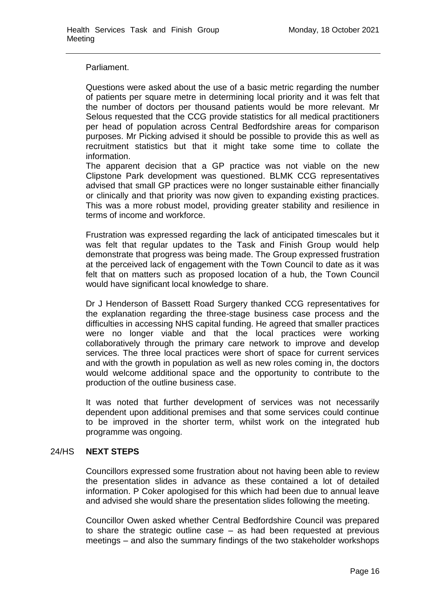#### Parliament.

Questions were asked about the use of a basic metric regarding the number of patients per square metre in determining local priority and it was felt that the number of doctors per thousand patients would be more relevant. Mr Selous requested that the CCG provide statistics for all medical practitioners per head of population across Central Bedfordshire areas for comparison purposes. Mr Picking advised it should be possible to provide this as well as recruitment statistics but that it might take some time to collate the information.

The apparent decision that a GP practice was not viable on the new Clipstone Park development was questioned. BLMK CCG representatives advised that small GP practices were no longer sustainable either financially or clinically and that priority was now given to expanding existing practices. This was a more robust model, providing greater stability and resilience in terms of income and workforce.

Frustration was expressed regarding the lack of anticipated timescales but it was felt that regular updates to the Task and Finish Group would help demonstrate that progress was being made. The Group expressed frustration at the perceived lack of engagement with the Town Council to date as it was felt that on matters such as proposed location of a hub, the Town Council would have significant local knowledge to share.

Dr J Henderson of Bassett Road Surgery thanked CCG representatives for the explanation regarding the three-stage business case process and the difficulties in accessing NHS capital funding. He agreed that smaller practices were no longer viable and that the local practices were working collaboratively through the primary care network to improve and develop services. The three local practices were short of space for current services and with the growth in population as well as new roles coming in, the doctors would welcome additional space and the opportunity to contribute to the production of the outline business case.

It was noted that further development of services was not necessarily dependent upon additional premises and that some services could continue to be improved in the shorter term, whilst work on the integrated hub programme was ongoing.

## 24/HS **NEXT STEPS**

Councillors expressed some frustration about not having been able to review the presentation slides in advance as these contained a lot of detailed information. P Coker apologised for this which had been due to annual leave and advised she would share the presentation slides following the meeting.

Councillor Owen asked whether Central Bedfordshire Council was prepared to share the strategic outline case – as had been requested at previous meetings – and also the summary findings of the two stakeholder workshops